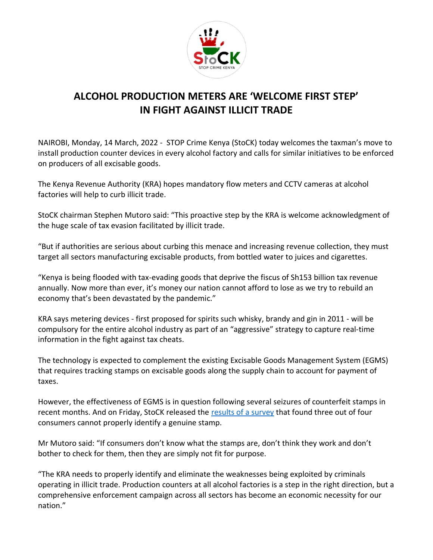

## **ALCOHOL PRODUCTION METERS ARE 'WELCOME FIRST STEP' IN FIGHT AGAINST ILLICIT TRADE**

NAIROBI, Monday, 14 March, 2022 - STOP Crime Kenya (StoCK) today welcomes the taxman's move to install production counter devices in every alcohol factory and calls for similar initiatives to be enforced on producers of all excisable goods.

The Kenya Revenue Authority (KRA) hopes mandatory flow meters and CCTV cameras at alcohol factories will help to curb illicit trade.

StoCK chairman Stephen Mutoro said: "This proactive step by the KRA is welcome acknowledgment of the huge scale of tax evasion facilitated by illicit trade.

"But if authorities are serious about curbing this menace and increasing revenue collection, they must target all sectors manufacturing excisable products, from bottled water to juices and cigarettes.

"Kenya is being flooded with tax-evading goods that deprive the fiscus of Sh153 billion tax revenue annually. Now more than ever, it's money our nation cannot afford to lose as we try to rebuild an economy that's been devastated by the pandemic."

KRA says metering devices - first proposed for spirits such whisky, brandy and gin in 2011 - will be compulsory for the entire alcohol industry as part of an "aggressive" strategy to capture real-time information in the fight against tax cheats.

The technology is expected to complement the existing Excisable Goods Management System (EGMS) that requires tracking stamps on excisable goods along the supply chain to account for payment of taxes.

However, the effectiveness of EGMS is in question following several seizures of counterfeit stamps in recent months. And on Friday, StoCK released the [results of a survey](https://stopcrimekenya.co.ke/assets/documents/survey3.pdf) that found three out of four consumers cannot properly identify a genuine stamp.

Mr Mutoro said: "If consumers don't know what the stamps are, don't think they work and don't bother to check for them, then they are simply not fit for purpose.

"The KRA needs to properly identify and eliminate the weaknesses being exploited by criminals operating in illicit trade. Production counters at all alcohol factories is a step in the right direction, but a comprehensive enforcement campaign across all sectors has become an economic necessity for our nation."